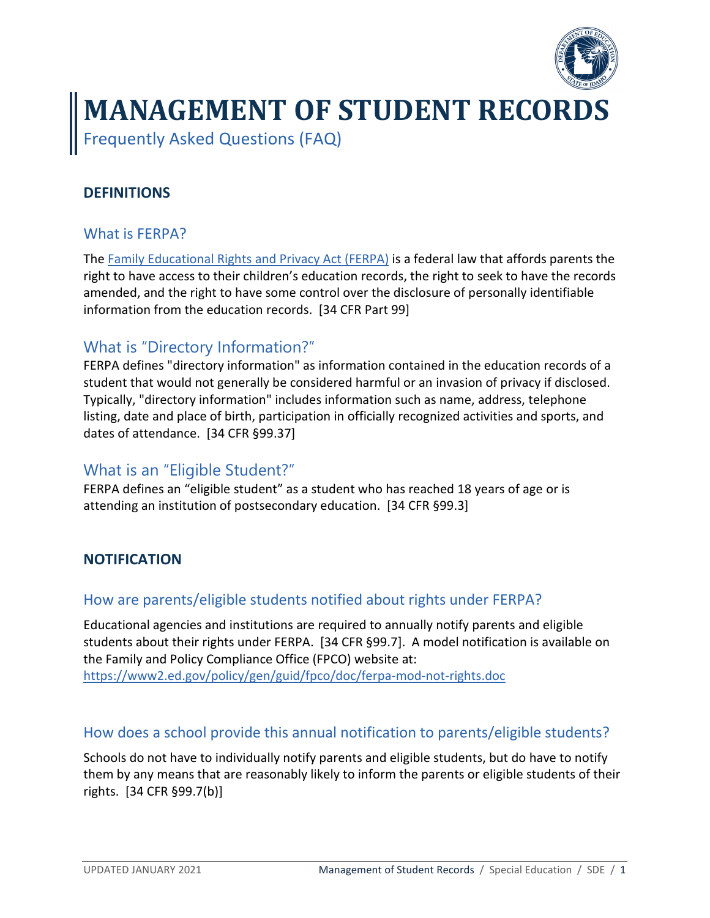

# **MANAGEMENT OF STUDENT RECORDS**

Frequently Asked Questions (FAQ)

# **DEFINITIONS**

# What is FERPA?

The [Family Educational Rights and Privacy Act \(FERPA\)](https://www2.ed.gov/policy/gen/guid/fpco/ferpa/index.html) is a federal law that affords parents the right to have access to their children's education records, the right to seek to have the records amended, and the right to have some control over the disclosure of personally identifiable information from the education records. [34 CFR Part 99]

# What is "Directory Information?"

FERPA defines "directory information" as information contained in the education records of a student that would not generally be considered harmful or an invasion of privacy if disclosed. Typically, "directory information" includes information such as name, address, telephone listing, date and place of birth, participation in officially recognized activities and sports, and dates of attendance. [34 CFR §99.37]

# What is an "Eligible Student?"

FERPA defines an "eligible student" as a student who has reached 18 years of age or is attending an institution of postsecondary education. [34 CFR §99.3]

## **NOTIFICATION**

## How are parents/eligible students notified about rights under FERPA?

Educational agencies and institutions are required to annually notify parents and eligible students about their rights under FERPA. [34 CFR §99.7]. A model notification is available on the Family and Policy Compliance Office (FPCO) website at: <https://www2.ed.gov/policy/gen/guid/fpco/doc/ferpa-mod-not-rights.doc>

## How does a school provide this annual notification to parents/eligible students?

Schools do not have to individually notify parents and eligible students, but do have to notify them by any means that are reasonably likely to inform the parents or eligible students of their rights. [34 CFR §99.7(b)]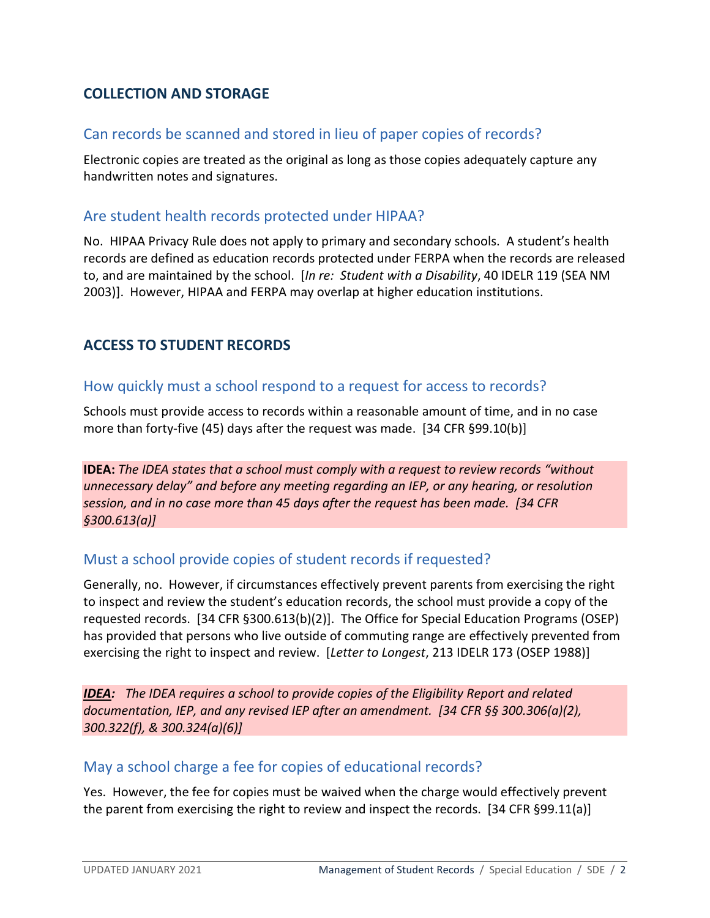# **COLLECTION AND STORAGE**

#### Can records be scanned and stored in lieu of paper copies of records?

Electronic copies are treated as the original as long as those copies adequately capture any handwritten notes and signatures.

#### Are student health records protected under HIPAA?

No. HIPAA Privacy Rule does not apply to primary and secondary schools. A student's health records are defined as education records protected under FERPA when the records are released to, and are maintained by the school. [*In re: Student with a Disability*, 40 IDELR 119 (SEA NM 2003)]. However, HIPAA and FERPA may overlap at higher education institutions.

## **ACCESS TO STUDENT RECORDS**

#### How quickly must a school respond to a request for access to records?

Schools must provide access to records within a reasonable amount of time, and in no case more than forty-five (45) days after the request was made. [34 CFR §99.10(b)]

**IDEA:** *The IDEA states that a school must comply with a request to review records "without unnecessary delay" and before any meeting regarding an IEP, or any hearing, or resolution session, and in no case more than 45 days after the request has been made. [34 CFR §300.613(a)]*

#### Must a school provide copies of student records if requested?

Generally, no. However, if circumstances effectively prevent parents from exercising the right to inspect and review the student's education records, the school must provide a copy of the requested records. [34 CFR §300.613(b)(2)]. The Office for Special Education Programs (OSEP) has provided that persons who live outside of commuting range are effectively prevented from exercising the right to inspect and review. [*Letter to Longest*, 213 IDELR 173 (OSEP 1988)]

*IDEA: The IDEA requires a school to provide copies of the Eligibility Report and related documentation, IEP, and any revised IEP after an amendment. [34 CFR §§ 300.306(a)(2), 300.322(f), & 300.324(a)(6)]*

#### May a school charge a fee for copies of educational records?

Yes. However, the fee for copies must be waived when the charge would effectively prevent the parent from exercising the right to review and inspect the records. [34 CFR §99.11(a)]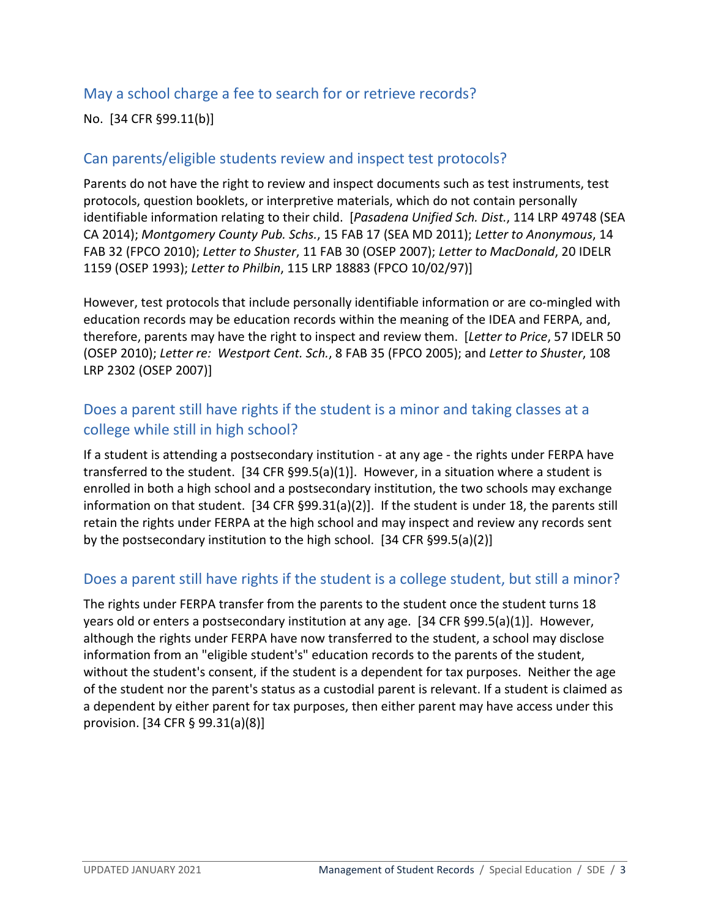# May a school charge a fee to search for or retrieve records?

No. [34 CFR §99.11(b)]

## Can parents/eligible students review and inspect test protocols?

Parents do not have the right to review and inspect documents such as test instruments, test protocols, question booklets, or interpretive materials, which do not contain personally identifiable information relating to their child. [*Pasadena Unified Sch. Dist.*, 114 LRP 49748 (SEA CA 2014); *Montgomery County Pub. Schs.*, 15 FAB 17 (SEA MD 2011); *Letter to Anonymous*, 14 FAB 32 (FPCO 2010); *Letter to Shuster*, 11 FAB 30 (OSEP 2007); *Letter to MacDonald*, 20 IDELR 1159 (OSEP 1993); *Letter to Philbin*, 115 LRP 18883 (FPCO 10/02/97)]

However, test protocols that include personally identifiable information or are co-mingled with education records may be education records within the meaning of the IDEA and FERPA, and, therefore, parents may have the right to inspect and review them. [*Letter to Price*, 57 IDELR 50 (OSEP 2010); *Letter re: Westport Cent. Sch.*, 8 FAB 35 (FPCO 2005); and *Letter to Shuster*, 108 LRP 2302 (OSEP 2007)]

# Does a parent still have rights if the student is a minor and taking classes at a college while still in high school?

If a student is attending a postsecondary institution - at any age - the rights under FERPA have transferred to the student. [34 CFR §99.5(a)(1)]. However, in a situation where a student is enrolled in both a high school and a postsecondary institution, the two schools may exchange information on that student. [34 CFR §99.31(a)(2)]. If the student is under 18, the parents still retain the rights under FERPA at the high school and may inspect and review any records sent by the postsecondary institution to the high school. [34 CFR §99.5(a)(2)]

## Does a parent still have rights if the student is a college student, but still a minor?

The rights under FERPA transfer from the parents to the student once the student turns 18 years old or enters a postsecondary institution at any age. [34 CFR §99.5(a)(1)]. However, although the rights under FERPA have now transferred to the student, a school may disclose information from an "eligible student's" education records to the parents of the student, without the student's consent, if the student is a dependent for tax purposes. Neither the age of the student nor the parent's status as a custodial parent is relevant. If a student is claimed as a dependent by either parent for tax purposes, then either parent may have access under this provision. [34 CFR § 99.31(a)(8)]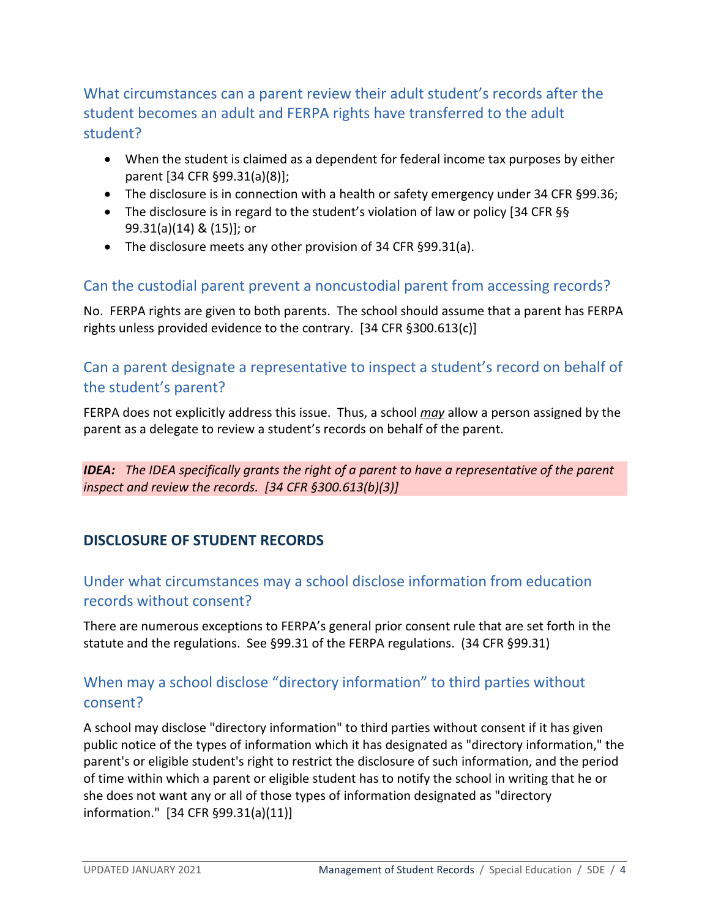What circumstances can a parent review their adult student's records after the student becomes an adult and FERPA rights have transferred to the adult student?

- When the student is claimed as a dependent for federal income tax purposes by either parent [34 CFR §99.31(a)(8)];
- The disclosure is in connection with a health or safety emergency under 34 CFR §99.36;
- The disclosure is in regard to the student's violation of law or policy [34 CFR §§ 99.31(a)(14) & (15)]; or
- The disclosure meets any other provision of 34 CFR §99.31(a).

## Can the custodial parent prevent a noncustodial parent from accessing records?

No. FERPA rights are given to both parents. The school should assume that a parent has FERPA rights unless provided evidence to the contrary. [34 CFR §300.613(c)]

# Can a parent designate a representative to inspect a student's record on behalf of the student's parent?

FERPA does not explicitly address this issue. Thus, a school *may* allow a person assigned by the parent as a delegate to review a student's records on behalf of the parent.

*IDEA: The IDEA specifically grants the right of a parent to have a representative of the parent inspect and review the records. [34 CFR §300.613(b)(3)]*

# **DISCLOSURE OF STUDENT RECORDS**

# Under what circumstances may a school disclose information from education records without consent?

There are numerous exceptions to FERPA's general prior consent rule that are set forth in the statute and the regulations. See §99.31 of the FERPA regulations. (34 CFR §99.31)

# When may a school disclose "directory information" to third parties without consent?

A school may disclose "directory information" to third parties without consent if it has given public notice of the types of information which it has designated as "directory information," the parent's or eligible student's right to restrict the disclosure of such information, and the period of time within which a parent or eligible student has to notify the school in writing that he or she does not want any or all of those types of information designated as "directory information." [34 CFR §99.31(a)(11)]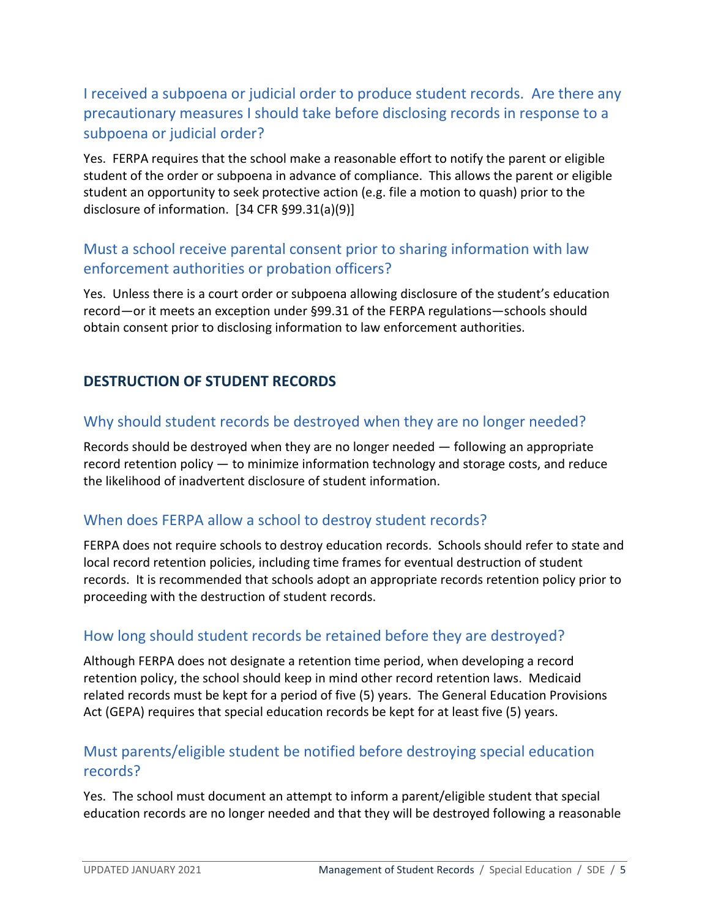# I received a subpoena or judicial order to produce student records. Are there any precautionary measures I should take before disclosing records in response to a subpoena or judicial order?

Yes. FERPA requires that the school make a reasonable effort to notify the parent or eligible student of the order or subpoena in advance of compliance. This allows the parent or eligible student an opportunity to seek protective action (e.g. file a motion to quash) prior to the disclosure of information. [34 CFR §99.31(a)(9)]

# Must a school receive parental consent prior to sharing information with law enforcement authorities or probation officers?

Yes. Unless there is a court order or subpoena allowing disclosure of the student's education record—or it meets an exception under §99.31 of the FERPA regulations—schools should obtain consent prior to disclosing information to law enforcement authorities.

## **DESTRUCTION OF STUDENT RECORDS**

# Why should student records be destroyed when they are no longer needed?

Records should be destroyed when they are no longer needed — following an appropriate record retention policy — to minimize information technology and storage costs, and reduce the likelihood of inadvertent disclosure of student information.

## When does FERPA allow a school to destroy student records?

FERPA does not require schools to destroy education records. Schools should refer to state and local record retention policies, including time frames for eventual destruction of student records. It is recommended that schools adopt an appropriate records retention policy prior to proceeding with the destruction of student records.

## How long should student records be retained before they are destroyed?

Although FERPA does not designate a retention time period, when developing a record retention policy, the school should keep in mind other record retention laws. Medicaid related records must be kept for a period of five (5) years. The General Education Provisions Act (GEPA) requires that special education records be kept for at least five (5) years.

# Must parents/eligible student be notified before destroying special education records?

Yes. The school must document an attempt to inform a parent/eligible student that special education records are no longer needed and that they will be destroyed following a reasonable